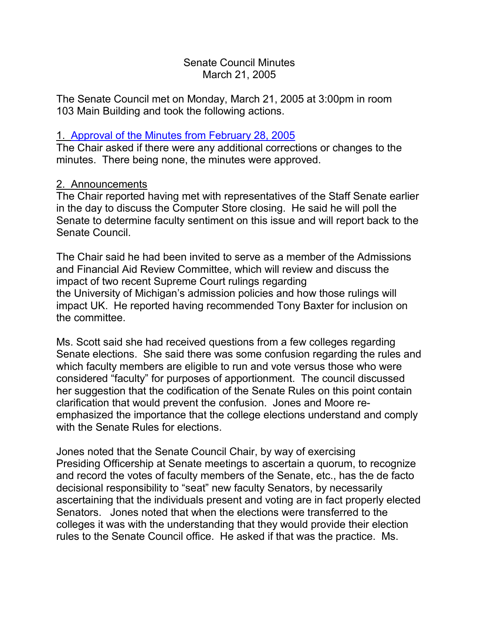### Senate Council Minutes March 21, 2005

The Senate Council met on Monday, March 21, 2005 at 3:00pm in room 103 Main Building and took the following actions.

### 1. [Approval of the Minutes from February 28, 2005](http://www.uky.edu/USC/New/SCMinutes/SC%20Minutes%20Feb%2028%202005%20FINAL.htm)

The Chair asked if there were any additional corrections or changes to the minutes. There being none, the minutes were approved.

## 2. Announcements

The Chair reported having met with representatives of the Staff Senate earlier in the day to discuss the Computer Store closing. He said he will poll the Senate to determine faculty sentiment on this issue and will report back to the Senate Council.

The Chair said he had been invited to serve as a member of the Admissions and Financial Aid Review Committee, which will review and discuss the impact of two recent Supreme Court rulings regarding the University of Michigan's admission policies and how those rulings will impact UK. He reported having recommended Tony Baxter for inclusion on the committee.

Ms. Scott said she had received questions from a few colleges regarding Senate elections. She said there was some confusion regarding the rules and which faculty members are eligible to run and vote versus those who were considered "faculty" for purposes of apportionment. The council discussed her suggestion that the codification of the Senate Rules on this point contain clarification that would prevent the confusion. Jones and Moore reemphasized the importance that the college elections understand and comply with the Senate Rules for elections.

Jones noted that the Senate Council Chair, by way of exercising Presiding Officership at Senate meetings to ascertain a quorum, to recognize and record the votes of faculty members of the Senate, etc., has the de facto decisional responsibility to "seat" new faculty Senators, by necessarily ascertaining that the individuals present and voting are in fact properly elected Senators. Jones noted that when the elections were transferred to the colleges it was with the understanding that they would provide their election rules to the Senate Council office. He asked if that was the practice. Ms.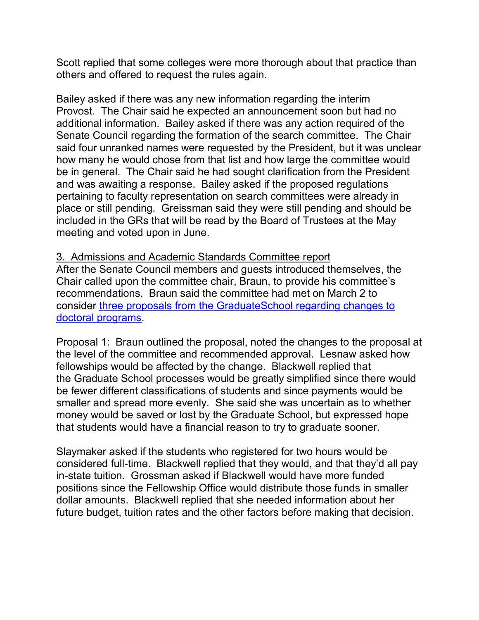Scott replied that some colleges were more thorough about that practice than others and offered to request the rules again.

Bailey asked if there was any new information regarding the interim Provost. The Chair said he expected an announcement soon but had no additional information. Bailey asked if there was any action required of the Senate Council regarding the formation of the search committee. The Chair said four unranked names were requested by the President, but it was unclear how many he would chose from that list and how large the committee would be in general. The Chair said he had sought clarification from the President and was awaiting a response. Bailey asked if the proposed regulations pertaining to faculty representation on search committees were already in place or still pending. Greissman said they were still pending and should be included in the GRs that will be read by the Board of Trustees at the May meeting and voted upon in June.

#### 3. Admissions and Academic Standards Committee report

After the Senate Council members and guests introduced themselves, the Chair called upon the committee chair, Braun, to provide his committee's recommendations. Braun said the committee had met on March 2 to consider [three proposals from the](http://www.uky.edu/USC/New/SCAgendas/20050321/doctoral%20program%20changes.pdf) GraduateSchool regarding changes to [doctoral programs.](http://www.uky.edu/USC/New/SCAgendas/20050321/doctoral%20program%20changes.pdf)

Proposal 1: Braun outlined the proposal, noted the changes to the proposal at the level of the committee and recommended approval. Lesnaw asked how fellowships would be affected by the change. Blackwell replied that the Graduate School processes would be greatly simplified since there would be fewer different classifications of students and since payments would be smaller and spread more evenly. She said she was uncertain as to whether money would be saved or lost by the Graduate School, but expressed hope that students would have a financial reason to try to graduate sooner.

Slaymaker asked if the students who registered for two hours would be considered full-time. Blackwell replied that they would, and that they'd all pay in-state tuition. Grossman asked if Blackwell would have more funded positions since the Fellowship Office would distribute those funds in smaller dollar amounts. Blackwell replied that she needed information about her future budget, tuition rates and the other factors before making that decision.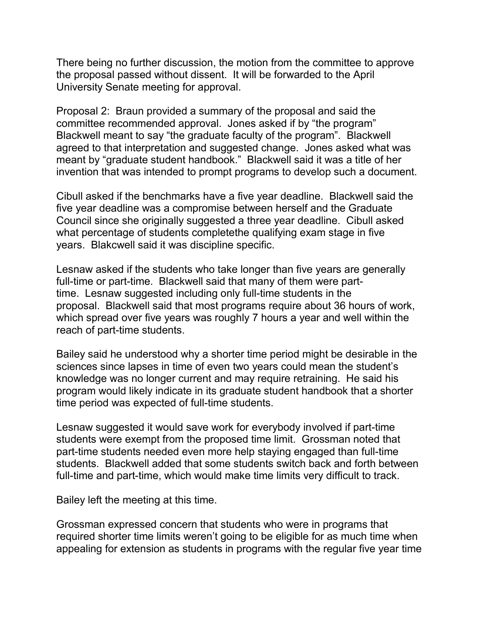There being no further discussion, the motion from the committee to approve the proposal passed without dissent. It will be forwarded to the April University Senate meeting for approval.

Proposal 2: Braun provided a summary of the proposal and said the committee recommended approval. Jones asked if by "the program" Blackwell meant to say "the graduate faculty of the program". Blackwell agreed to that interpretation and suggested change. Jones asked what was meant by "graduate student handbook." Blackwell said it was a title of her invention that was intended to prompt programs to develop such a document.

Cibull asked if the benchmarks have a five year deadline. Blackwell said the five year deadline was a compromise between herself and the Graduate Council since she originally suggested a three year deadline. Cibull asked what percentage of students completethe qualifying exam stage in five years. Blakcwell said it was discipline specific.

Lesnaw asked if the students who take longer than five years are generally full-time or part-time. Blackwell said that many of them were parttime. Lesnaw suggested including only full-time students in the proposal. Blackwell said that most programs require about 36 hours of work, which spread over five years was roughly 7 hours a year and well within the reach of part-time students.

Bailey said he understood why a shorter time period might be desirable in the sciences since lapses in time of even two years could mean the student's knowledge was no longer current and may require retraining. He said his program would likely indicate in its graduate student handbook that a shorter time period was expected of full-time students.

Lesnaw suggested it would save work for everybody involved if part-time students were exempt from the proposed time limit. Grossman noted that part-time students needed even more help staying engaged than full-time students. Blackwell added that some students switch back and forth between full-time and part-time, which would make time limits very difficult to track.

Bailey left the meeting at this time.

Grossman expressed concern that students who were in programs that required shorter time limits weren't going to be eligible for as much time when appealing for extension as students in programs with the regular five year time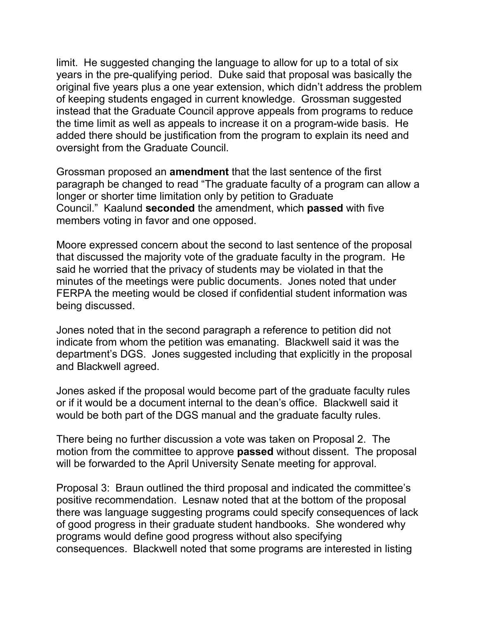limit. He suggested changing the language to allow for up to a total of six years in the pre-qualifying period. Duke said that proposal was basically the original five years plus a one year extension, which didn't address the problem of keeping students engaged in current knowledge. Grossman suggested instead that the Graduate Council approve appeals from programs to reduce the time limit as well as appeals to increase it on a program-wide basis. He added there should be justification from the program to explain its need and oversight from the Graduate Council.

Grossman proposed an **amendment** that the last sentence of the first paragraph be changed to read "The graduate faculty of a program can allow a longer or shorter time limitation only by petition to Graduate Council." Kaalund **seconded** the amendment, which **passed** with five members voting in favor and one opposed.

Moore expressed concern about the second to last sentence of the proposal that discussed the majority vote of the graduate faculty in the program. He said he worried that the privacy of students may be violated in that the minutes of the meetings were public documents. Jones noted that under FERPA the meeting would be closed if confidential student information was being discussed.

Jones noted that in the second paragraph a reference to petition did not indicate from whom the petition was emanating. Blackwell said it was the department's DGS. Jones suggested including that explicitly in the proposal and Blackwell agreed.

Jones asked if the proposal would become part of the graduate faculty rules or if it would be a document internal to the dean's office. Blackwell said it would be both part of the DGS manual and the graduate faculty rules.

There being no further discussion a vote was taken on Proposal 2. The motion from the committee to approve **passed** without dissent. The proposal will be forwarded to the April University Senate meeting for approval.

Proposal 3: Braun outlined the third proposal and indicated the committee's positive recommendation. Lesnaw noted that at the bottom of the proposal there was language suggesting programs could specify consequences of lack of good progress in their graduate student handbooks. She wondered why programs would define good progress without also specifying consequences. Blackwell noted that some programs are interested in listing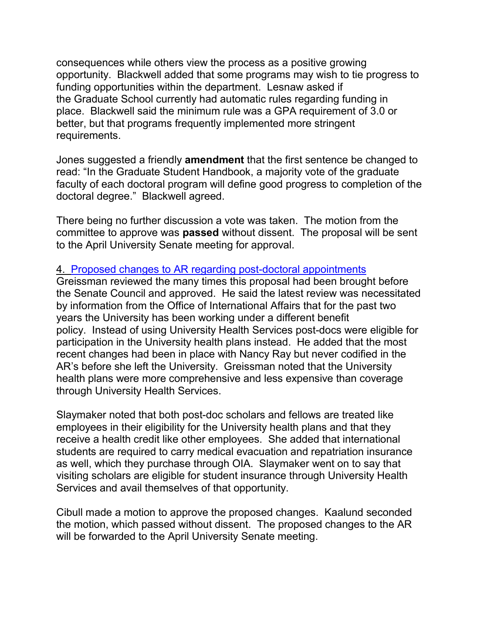consequences while others view the process as a positive growing opportunity. Blackwell added that some programs may wish to tie progress to funding opportunities within the department. Lesnaw asked if the Graduate School currently had automatic rules regarding funding in place. Blackwell said the minimum rule was a GPA requirement of 3.0 or better, but that programs frequently implemented more stringent requirements.

Jones suggested a friendly **amendment** that the first sentence be changed to read: "In the Graduate Student Handbook, a majority vote of the graduate faculty of each doctoral program will define good progress to completion of the doctoral degree." Blackwell agreed.

There being no further discussion a vote was taken. The motion from the committee to approve was **passed** without dissent. The proposal will be sent to the April University Senate meeting for approval.

#### 4. [Proposed changes to AR regarding post-doctoral appointments](http://www.uky.edu/USC/New/SCAgendas/20050321/Postdoctoral%20Scholars%20Fellows%20and%20Visiting%20Scholars%20(AR%20II-4%200-1)%20-%20amended%203-7-05%20to%20clarify%20benefits%20coverage.doc)

Greissman reviewed the many times this proposal had been brought before the Senate Council and approved. He said the latest review was necessitated by information from the Office of International Affairs that for the past two years the University has been working under a different benefit policy. Instead of using University Health Services post-docs were eligible for participation in the University health plans instead. He added that the most recent changes had been in place with Nancy Ray but never codified in the AR's before she left the University. Greissman noted that the University health plans were more comprehensive and less expensive than coverage through University Health Services.

Slaymaker noted that both post-doc scholars and fellows are treated like employees in their eligibility for the University health plans and that they receive a health credit like other employees. She added that international students are required to carry medical evacuation and repatriation insurance as well, which they purchase through OIA. Slaymaker went on to say that visiting scholars are eligible for student insurance through University Health Services and avail themselves of that opportunity.

Cibull made a motion to approve the proposed changes. Kaalund seconded the motion, which passed without dissent. The proposed changes to the AR will be forwarded to the April University Senate meeting.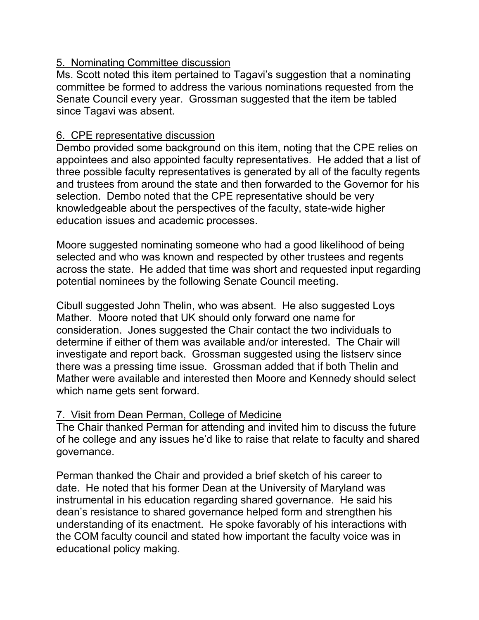## 5. Nominating Committee discussion

Ms. Scott noted this item pertained to Tagavi's suggestion that a nominating committee be formed to address the various nominations requested from the Senate Council every year. Grossman suggested that the item be tabled since Tagavi was absent.

# 6. CPE representative discussion

Dembo provided some background on this item, noting that the CPE relies on appointees and also appointed faculty representatives. He added that a list of three possible faculty representatives is generated by all of the faculty regents and trustees from around the state and then forwarded to the Governor for his selection. Dembo noted that the CPE representative should be very knowledgeable about the perspectives of the faculty, state-wide higher education issues and academic processes.

Moore suggested nominating someone who had a good likelihood of being selected and who was known and respected by other trustees and regents across the state. He added that time was short and requested input regarding potential nominees by the following Senate Council meeting.

Cibull suggested John Thelin, who was absent. He also suggested Loys Mather. Moore noted that UK should only forward one name for consideration. Jones suggested the Chair contact the two individuals to determine if either of them was available and/or interested. The Chair will investigate and report back. Grossman suggested using the listserv since there was a pressing time issue. Grossman added that if both Thelin and Mather were available and interested then Moore and Kennedy should select which name gets sent forward.

# 7. Visit from Dean Perman, College of Medicine

The Chair thanked Perman for attending and invited him to discuss the future of he college and any issues he'd like to raise that relate to faculty and shared governance.

Perman thanked the Chair and provided a brief sketch of his career to date. He noted that his former Dean at the University of Maryland was instrumental in his education regarding shared governance. He said his dean's resistance to shared governance helped form and strengthen his understanding of its enactment. He spoke favorably of his interactions with the COM faculty council and stated how important the faculty voice was in educational policy making.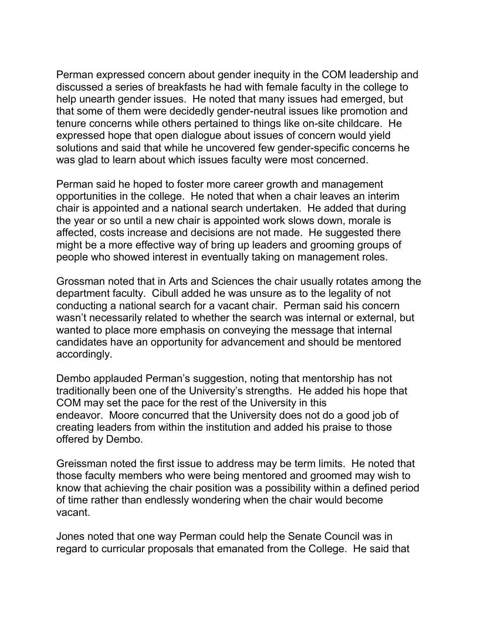Perman expressed concern about gender inequity in the COM leadership and discussed a series of breakfasts he had with female faculty in the college to help unearth gender issues. He noted that many issues had emerged, but that some of them were decidedly gender-neutral issues like promotion and tenure concerns while others pertained to things like on-site childcare. He expressed hope that open dialogue about issues of concern would yield solutions and said that while he uncovered few gender-specific concerns he was glad to learn about which issues faculty were most concerned.

Perman said he hoped to foster more career growth and management opportunities in the college. He noted that when a chair leaves an interim chair is appointed and a national search undertaken. He added that during the year or so until a new chair is appointed work slows down, morale is affected, costs increase and decisions are not made. He suggested there might be a more effective way of bring up leaders and grooming groups of people who showed interest in eventually taking on management roles.

Grossman noted that in Arts and Sciences the chair usually rotates among the department faculty. Cibull added he was unsure as to the legality of not conducting a national search for a vacant chair. Perman said his concern wasn't necessarily related to whether the search was internal or external, but wanted to place more emphasis on conveying the message that internal candidates have an opportunity for advancement and should be mentored accordingly.

Dembo applauded Perman's suggestion, noting that mentorship has not traditionally been one of the University's strengths. He added his hope that COM may set the pace for the rest of the University in this endeavor. Moore concurred that the University does not do a good job of creating leaders from within the institution and added his praise to those offered by Dembo.

Greissman noted the first issue to address may be term limits. He noted that those faculty members who were being mentored and groomed may wish to know that achieving the chair position was a possibility within a defined period of time rather than endlessly wondering when the chair would become vacant.

Jones noted that one way Perman could help the Senate Council was in regard to curricular proposals that emanated from the College. He said that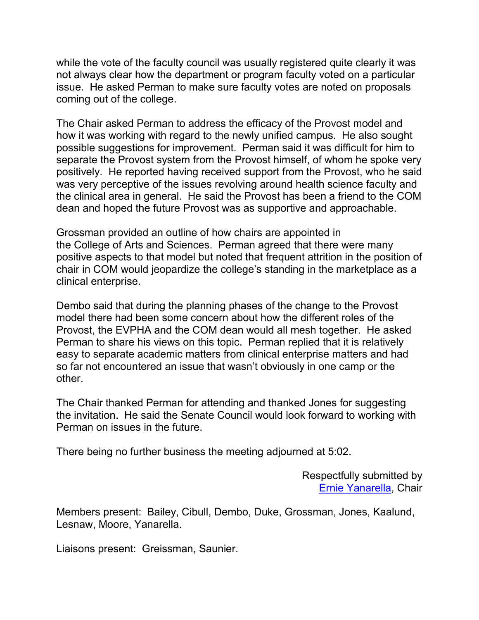while the vote of the faculty council was usually registered quite clearly it was not always clear how the department or program faculty voted on a particular issue. He asked Perman to make sure faculty votes are noted on proposals coming out of the college.

The Chair asked Perman to address the efficacy of the Provost model and how it was working with regard to the newly unified campus. He also sought possible suggestions for improvement. Perman said it was difficult for him to separate the Provost system from the Provost himself, of whom he spoke very positively. He reported having received support from the Provost, who he said was very perceptive of the issues revolving around health science faculty and the clinical area in general. He said the Provost has been a friend to the COM dean and hoped the future Provost was as supportive and approachable.

Grossman provided an outline of how chairs are appointed in the College of Arts and Sciences. Perman agreed that there were many positive aspects to that model but noted that frequent attrition in the position of chair in COM would jeopardize the college's standing in the marketplace as a clinical enterprise.

Dembo said that during the planning phases of the change to the Provost model there had been some concern about how the different roles of the Provost, the EVPHA and the COM dean would all mesh together. He asked Perman to share his views on this topic. Perman replied that it is relatively easy to separate academic matters from clinical enterprise matters and had so far not encountered an issue that wasn't obviously in one camp or the other.

The Chair thanked Perman for attending and thanked Jones for suggesting the invitation. He said the Senate Council would look forward to working with Perman on issues in the future.

There being no further business the meeting adjourned at 5:02.

Respectfully submitted by [Ernie Yanarella,](mailto:ejyana@email.uky.edu) Chair

Members present: Bailey, Cibull, Dembo, Duke, Grossman, Jones, Kaalund, Lesnaw, Moore, Yanarella.

Liaisons present: Greissman, Saunier.